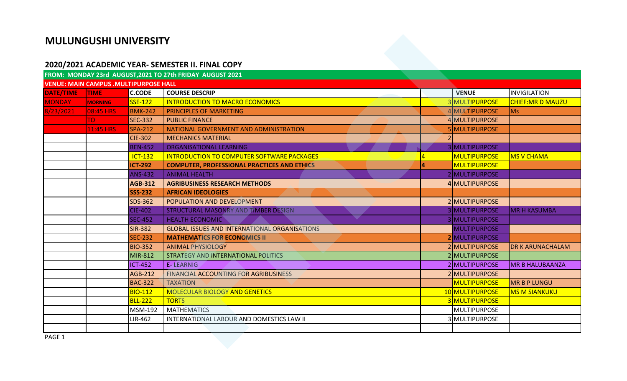## **MULUNGUSHI UNIVERSITY**

## **2020/2021 ACADEMIC YEAR- SEMESTER II. FINAL COPY**

|               |                                              |                | 2020/2021 ACADEMIC YEAR- SEMESTER II. FINAL COPY<br>FROM: MONDAY 23rd AUGUST, 2021 TO 27th FRIDAY AUGUST 2021 |                       |                         |
|---------------|----------------------------------------------|----------------|---------------------------------------------------------------------------------------------------------------|-----------------------|-------------------------|
|               | <b>VENUE: MAIN CAMPUS .MULTIPURPOSE HALL</b> |                |                                                                                                               |                       |                         |
| DATE/TIME     | <b>TIME</b>                                  | <b>C.CODE</b>  | <b>COURSE DESCRIP</b>                                                                                         | <b>VENUE</b>          | <b>INVIGILATION</b>     |
| <b>MONDAY</b> | <b>MORNING</b>                               | <b>SSE-122</b> | <b>INTRODUCTION TO MACRO ECONOMICS</b>                                                                        | 3 MULTIPURPOSE        | <b>CHIEF:MR D MAUZU</b> |
| 8/23/2021     | <b>08:45 HRS</b>                             | <b>BMK-242</b> | <b>PRINCIPLES OF MARKETING</b>                                                                                | 4 MULTIPURPOSE        | Ms                      |
|               | lTO l                                        | <b>SEC-332</b> | <b>PUBLIC FINANCE</b>                                                                                         | 4 MULTIPURPOSE        |                         |
|               | 11:45 HRS                                    | <b>SPA-212</b> | NATIONAL GOVERNMENT AND ADMINISTRATION                                                                        | 5 MULTIPURPOSE        |                         |
|               |                                              | <b>CIE-302</b> | <b>MECHANICS MATERIAL</b>                                                                                     |                       |                         |
|               |                                              | <b>BEN-452</b> | <b>ORGANISATIONAL LEARNING</b>                                                                                | 3 MULTIPURPOSE        |                         |
|               |                                              | <b>ICT-132</b> | <b>INTRODUCTION TO COMPUTER SOFTWARE PACKAGES</b>                                                             | <b>MULTIPURPOSE</b>   | <b>MS V CHAMA</b>       |
|               |                                              | <b>ICT-292</b> | <b>COMPUTER, PROFESSIONAL PRACTICES AND ETHICS</b>                                                            | <b>MULTIPURPOSE</b>   |                         |
|               |                                              | <b>ANS-432</b> | <b>ANIMAL HEALTH</b>                                                                                          | 2 MULTIPURPOSE        |                         |
|               |                                              | <b>AGB-312</b> | <b>AGRIBUSINESS RESEARCH METHODS</b>                                                                          | 4 MULTIPURPOSE        |                         |
|               |                                              | <b>SSS-232</b> | <b>AFRICAN IDEOLOGIES</b>                                                                                     |                       |                         |
|               |                                              | SDS-362        | POPULATION AND DEVELOPMENT                                                                                    | 2 MULTIPURPOSE        |                         |
|               |                                              | <b>CIE-402</b> | STRUCTURAL MASONRY AND TIMBER DESIGN                                                                          | <b>3 MULTIPURPOSE</b> | <b>MR H KASUMBA</b>     |
|               |                                              | <b>SEC-452</b> | <b>HEALTH ECONOMIC</b>                                                                                        | 3 MULTIPURPOSE        |                         |
|               |                                              | <b>SIR-382</b> | <b>GLOBAL ISSUES AND INTERNATIONAL ORGANISATIONS</b>                                                          | MULTIPURPOSE          |                         |
|               |                                              | <b>SEC-232</b> | <b>MATHEMATICS FOR ECONOMICS II</b>                                                                           | <b>2</b> MULTIPURPOSE |                         |
|               |                                              | <b>BIO-352</b> | <b>ANIMAL PHYSIOLOGY</b>                                                                                      | 2 MULTIPURPOSE        | DR K ARUNACHALAM        |
|               |                                              | MIR-812        | STRATEGY AND INTERNATIONAL POLITICS                                                                           | 2 MULTIPURPOSE        |                         |
|               |                                              | <b>ICT-452</b> | <b>E-LEARNIG</b>                                                                                              | 2 MULTIPURPOSE        | <b>MR B HALUBAANZA</b>  |
|               |                                              | <b>AGB-212</b> | FINANCIAL ACCOUNTING FOR AGRIBUSINESS                                                                         | 2 MULTIPURPOSE        |                         |
|               |                                              | <b>BAC-322</b> | <b>TAXATION</b>                                                                                               | <b>MULTIPURPOSE</b>   | <b>MR B P LUNGU</b>     |
|               |                                              | <b>BIO-112</b> | <b>MOLECULAR BIOLOGY AND GENETICS</b>                                                                         | 10 MULTIPURPOSE       | <b>MS M SIANKUKU</b>    |
|               |                                              | <b>BLL-222</b> | <b>TORTS</b>                                                                                                  | 3 MULTIPURPOSE        |                         |
|               |                                              | MSM-192        | <b>MATHEMATICS</b>                                                                                            | MULTIPURPOSE          |                         |
|               |                                              | LIR-462        | INTERNATIONAL LABOUR AND DOMESTICS LAW II                                                                     | 3 MULTIPURPOSE        |                         |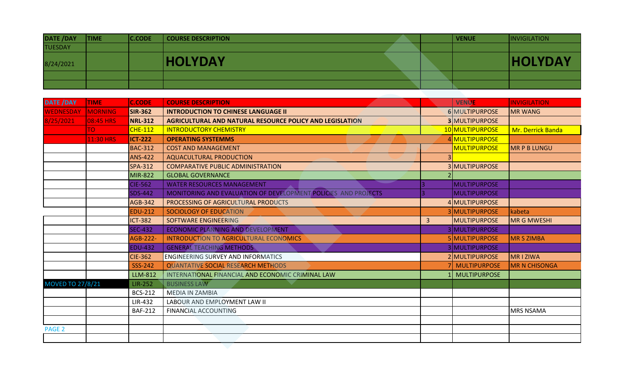| <b>DATE /DAY</b> | <b>TIME</b> | <b>C.CODE</b> | <b>COURSE DESCRIPTION</b> |  | VENUE | <i><b>INVIGILATION</b></i> |
|------------------|-------------|---------------|---------------------------|--|-------|----------------------------|
| <b>TUESDAY</b>   |             |               |                           |  |       |                            |
| 8/24/2021        |             |               | <b>HOLYDAY</b>            |  |       | <b>HOLYDAY</b>             |
|                  |             |               |                           |  |       |                            |
|                  |             |               |                           |  |       |                            |

| <b>DATE /DAY</b>        | <b>TIME</b>    | <b>C.CODE</b>   | <b>COURSE DESCRIPTION</b>                                      |                | <b>VENUE</b>          | <b>INVIGILATION</b> |
|-------------------------|----------------|-----------------|----------------------------------------------------------------|----------------|-----------------------|---------------------|
| <b>TUESDAY</b>          |                |                 |                                                                |                |                       |                     |
| 8/24/2021               |                |                 | <b>HOLYDAY</b>                                                 |                |                       | <b>HOLYDAY</b>      |
|                         |                |                 |                                                                |                |                       |                     |
|                         |                |                 |                                                                |                |                       |                     |
|                         |                |                 |                                                                |                |                       |                     |
| <b>DATE / DAY</b>       | <b>TIME</b>    | <b>C.CODE</b>   | <b>COURSE DESCRIPTION</b>                                      |                | <b>VENUE</b>          | <b>INVIGILATION</b> |
| <b>WEDNESDAY</b>        | <b>MORNING</b> | <b>SIR-362</b>  | <b>INTRODUCTION TO CHINESE LANGUAGE II</b>                     |                | 6 MULTIPURPOSE        | <b>MR WANG</b>      |
| 8/25/2021               | 08:45 HRS      | <b>NRL-312</b>  | AGRICULTURAL AND NATURAL RESOURCE POLICY AND LEGISLATION       |                | <b>3 MULTIPURPOSE</b> |                     |
|                         | TO.            | <b>CHE-112</b>  | <b>INTRODUCTORY CHEMISTRY</b>                                  |                | 10 MULTIPURPOSE       | Mr. Derrick Banda   |
|                         | 11:30 HRS      | <b>ICT-222</b>  | <b>OPERATING SYSTEMMS</b>                                      |                | 4 MULTIPURPOSE        |                     |
|                         |                | <b>BAC-312</b>  | <b>COST AND MANAGEMENT</b>                                     |                | MULTIPURPOSE          | <b>MR P B LUNGU</b> |
|                         |                | <b>ANS-422</b>  | <b>AQUACULTURAL PRODUCTION</b>                                 |                |                       |                     |
|                         |                | <b>SPA-312</b>  | <b>COMPARATIVE PUBLIC ADMINISTRATION</b>                       |                | 3 MULTIPURPOSE        |                     |
|                         |                | <b>MIR-822</b>  | <b>GLOBAL GOVERNANCE</b>                                       |                |                       |                     |
|                         |                | <b>CIE-562</b>  | <b>WATER RESOURCES MANAGEMENT</b>                              |                | <b>MULTIPURPOSE</b>   |                     |
|                         |                | <b>SDS-442</b>  | MONITORING AND EVALUATION OF DEVELOPMENT POLICIES AND PROJECTS |                | MULTIPURPOSE          |                     |
|                         |                | <b>AGB-342</b>  | PROCESSING OF AGRICULTURAL PRODUCTS                            |                | 4 MULTIPURPOSE        |                     |
|                         |                | <b>EDU-212</b>  | SOCIOLOGY OF EDUCATION                                         |                | 3 MULTIPURPOSE        | kabeta              |
|                         |                | <b>ICT-382</b>  | SOFTWARE ENGINEERING                                           | $\overline{3}$ | <b>MULTIPURPOSE</b>   | <b>MR G MWESHI</b>  |
|                         |                | <b>SEC-432</b>  | <b>ECONOMIC PLANNING AND DEVELOPMENT</b>                       |                | 3 MULTIPURPOSE        |                     |
|                         |                | <b>AGB-222-</b> | <b>INTRODUCTION TO AGRICULTURAL ECONOMICS</b>                  |                | 5 MULTIPURPOSE        | MR S ZIMBA          |
|                         |                | <b>EDU-432</b>  | <b>GENERAL TEACHING METHODS</b>                                |                | 3 MULTIPURPOSE        |                     |
|                         |                | <b>CIE-362</b>  | <b>ENGINEERING SURVEY AND INFORMATICS</b>                      |                | 2 MULTIPURPOSE        | <b>MRIZIWA</b>      |
|                         |                | <b>SSS-242</b>  | QUANTATIVE SOCIAL RESEARCH METHODS                             |                | MULTIPURPOSE          | MR N CHISONGA       |
|                         |                | <b>LLM-812</b>  | INTERNATIONAL FINANCIAL AND ECONOMIC CRIMINAL LAW              |                | <b>MULTIPURPOSE</b>   |                     |
| <b>MOVED TO 27/8/21</b> |                | <b>LIR-252</b>  | <b>BUSINESS LAW</b>                                            |                |                       |                     |
|                         |                | <b>BCS-212</b>  | <b>MEDIA IN ZAMBIA</b>                                         |                |                       |                     |
|                         |                | <b>LIR-432</b>  | LABOUR AND EMPLOYMENT LAW II                                   |                |                       |                     |
|                         |                | <b>BAF-212</b>  | <b>FINANCIAL ACCOUNTING</b>                                    |                |                       | <b>MRS NSAMA</b>    |
|                         |                |                 |                                                                |                |                       |                     |
| PAGE <sub>2</sub>       |                |                 |                                                                |                |                       |                     |
|                         |                |                 |                                                                |                |                       |                     |
|                         |                |                 |                                                                |                |                       |                     |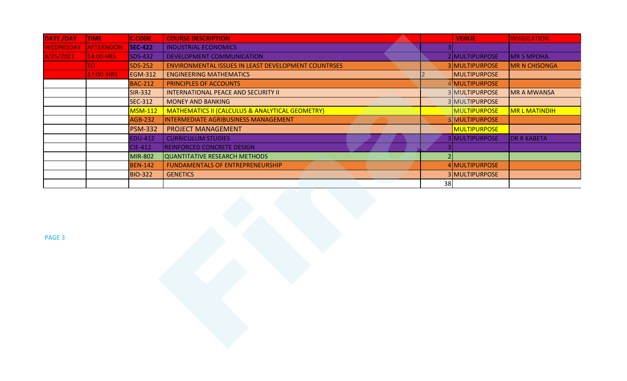| DATE /DAY        | <b>TIME</b>      | <b>C.CODE</b>  | <b>COURSE DESCRIPTION</b>                                  | <b>VENUE</b>        | <b>INVIGILATION</b>  |
|------------------|------------------|----------------|------------------------------------------------------------|---------------------|----------------------|
| <b>WEDNESDAY</b> | <b>AFTERNOON</b> | <b>SEC-422</b> | <b>INDUSTRIAL ECONOMICS</b>                                | 3 <sup>1</sup>      |                      |
| 8/25/2021        | 14:00 HRS        | <b>SDS-432</b> | <b>DEVELOPMENT COMMUNICATION</b>                           | 2 MULTIPURPOSE      | <b>MR S MPOHA</b>    |
|                  | TO <b>T</b>      | <b>SDS-252</b> | ENVIRONMENTAL ISSUES IN LEAST DEVELOPMENT COUNTRSES        | 3 MULTIPURPOSE      | <b>MR N CHISONGA</b> |
|                  | 17:00 HRS        | <b>EGM-312</b> | <b>ENGINEERING MATHEMATICS</b>                             | MULTIPURPOSE        |                      |
|                  |                  | <b>BAC-212</b> | PRINCIPLES OF ACCOUNTS                                     | 4 MULTIPURPOSE      |                      |
|                  |                  | <b>SIR-332</b> | <b>INTERNATIONAL PEACE AND SECURITY II</b>                 | 3 MULTIPURPOSE      | <b>MR A MWANSA</b>   |
|                  |                  | <b>SEC-312</b> | <b>MONEY AND BANKING</b>                                   | 3 MULTIPURPOSE      |                      |
|                  |                  | <b>MSM-112</b> | <b>MATHEMATICS II (CALCULUS &amp; ANALYTICAL GEOMETRY)</b> | MULTIPURPOSE        | MR L MATINDIH        |
|                  |                  | <b>AGB-232</b> | INTERMEDIATE AGRIBUSINESS MANAGEMENT                       | 3 MULTIPURPOSE      |                      |
|                  |                  | <b>PSM-332</b> | PROJECT MANAGEMENT                                         | <b>MULTIPURPOSE</b> |                      |
|                  |                  | <b>EDU-412</b> | <b>CURRICULUM STUDIES</b>                                  | 3 MULTIPURPOSE      | <b>DR R KABETA</b>   |
|                  |                  | <b>CIE-412</b> | <b>REINFORCED CONCRETE DESIGN</b>                          | $\vert 3 \vert$     |                      |
|                  |                  | <b>MIR-802</b> | <b>QUANTITATIVE RESEARCH METHODS</b>                       | 2                   |                      |
|                  |                  | <b>BEN-142</b> | FUNDAMENTALS OF ENTREPRENEURSHIP                           | 4 MULTIPURPOSE      |                      |
|                  |                  | <b>BIO-322</b> | <b>GENETICS</b>                                            | 3 MULTIPURPOSE      |                      |
|                  |                  |                |                                                            | 38                  |                      |
| PAGE 3           |                  |                |                                                            |                     |                      |
|                  |                  |                |                                                            |                     |                      |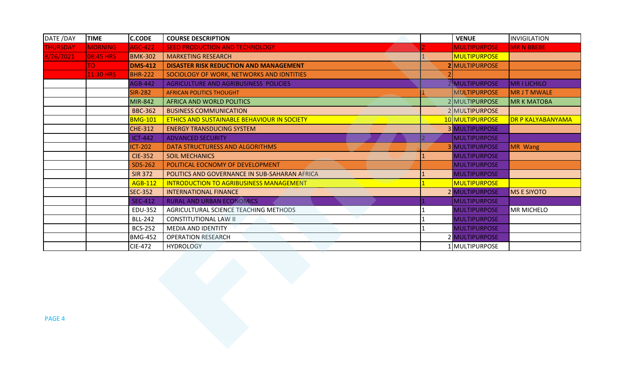| DATE /DAY       | <b>TIME</b>    | <b>C.CODE</b>  | <b>COURSE DESCRIPTION</b>                            | <b>VENUE</b>          | <b>INVIGILATION</b> |
|-----------------|----------------|----------------|------------------------------------------------------|-----------------------|---------------------|
| <b>THURSDAY</b> | <b>MORNING</b> | <b>AGC-422</b> | SEED PRODUCTION AND TECHNOLOGY                       | <b>MULTIPURPOSE</b>   | <b>MR N BBEBE</b>   |
| 8/26/2021       | 08:45 HRS      | <b>BMK-302</b> | <b>MARKETING RESEARCH</b>                            | <b>MULTIPURPOSE</b>   |                     |
|                 | <b>OT</b>      | <b>DMS-412</b> | DISASTER RISK REDUCTION AND MANAGEMENT               | 2 MULTIPURPOSE        |                     |
|                 | 11:30 HRS      | <b>BHR-222</b> | SOCIOLOGY OF WORK, NETWORKS AND IDNTITIES            |                       |                     |
|                 |                | <b>AGB-442</b> | AGRICULTURE AND AGRIBUSINESS POLICIES                | 2 MULTIPURPOSE        | <b>MRILICHILO</b>   |
|                 |                | <b>SIR-282</b> | <b>AFRICAN POLITICS THOUGHT</b>                      | MULTIPURPOSE          | <b>MRJTMWALE</b>    |
|                 |                | <b>MIR-842</b> | AFRICA AND WORLD POLITICS                            | 2 MULTIPURPOSE        | <b>MR K MATOBA</b>  |
|                 |                | <b>BBC-362</b> | <b>BUSINESS COMMUNICATION</b>                        | 2 MULTIPURPOSE        |                     |
|                 |                | <b>BMG-101</b> | ETHICS AND SUSTAINABLE BEHAVIOUR IN SOCIETY          | 10 MULTIPURPOSE       | DR P KALYABANYAMA   |
|                 |                | <b>CHE-312</b> | <b>ENERGY TRANSDUCING SYSTEM</b>                     | <b>3 MULTIPURPOSE</b> |                     |
|                 |                | <b>ICT-442</b> | <b>ADVANCED SECURITY</b>                             | <b>MULTIPURPOSE</b>   |                     |
|                 |                | <b>ICT-202</b> | DATA STRUCTURESS AND ALGORITHMS                      | <b>3 MULTIPURPOSE</b> | MR Wang             |
|                 |                | <b>CIE-352</b> | <b>SOIL MECHANICS</b>                                | MULTIPURPOSE          |                     |
|                 |                | <b>SDS-262</b> | POLITICAL EOCNOMY OF DEVELOPMENT                     | MULTIPURPOSE          |                     |
|                 |                | <b>SIR 372</b> | <b>POLITICS AND GOVERNANCE IN SUB-SAHARAN AFRICA</b> | MULTIPURPOSE          |                     |
|                 |                | <b>AGB-112</b> | <b>INTRODUCTION TO AGRIBUSINESS MANAGEMENT</b>       | MULTIPURPOSE          |                     |
|                 |                | <b>SEC-352</b> | <b>INTERNATIONAL FINANCE</b>                         | 2 MULTIPURPOSE        | <b>MS E SIYOTO</b>  |
|                 |                | <b>SEC-412</b> | <b>RURAL AND URBAN ECONOMICS</b>                     | MULTIPURPOSE          |                     |
|                 |                | <b>EDU-352</b> | AGRICULTURAL SCIENCE TEACHING METHODS                | <b>MULTIPURPOSE</b>   | <b>MR MICHELO</b>   |
|                 |                | <b>BLL-242</b> | <b>CONSTITUTIONAL LAW II</b>                         | <b>MULTIPURPOSE</b>   |                     |
|                 |                | <b>BCS-252</b> | <b>MEDIA AND IDENTITY</b>                            | <b>MULTIPURPOSE</b>   |                     |
|                 |                | <b>BMG-452</b> | <b>OPERATION RESEARCH</b>                            | 2 MULTIPURPOSE        |                     |
|                 |                | <b>CIE-472</b> | <b>HYDROLOGY</b>                                     | 1 MULTIPURPOSE        |                     |
| PAGE 4          |                |                |                                                      |                       |                     |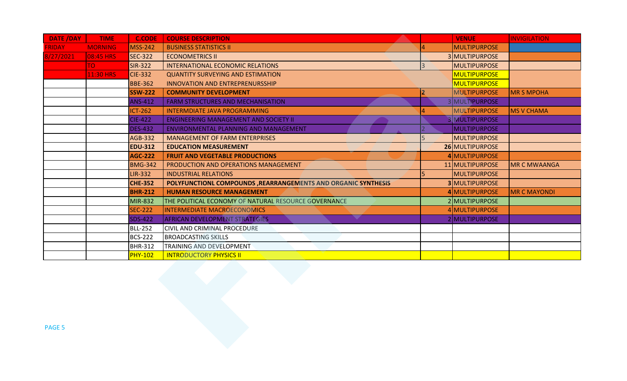| <b>FRIDAY</b><br><b>MORNING</b><br>8/27/2021<br>08:45 HRS | <b>MSS-242</b> | <b>BUSINESS STATISTICS II</b>                                 |                | <b>MULTIPURPOSE</b>   |                     |
|-----------------------------------------------------------|----------------|---------------------------------------------------------------|----------------|-----------------------|---------------------|
|                                                           |                |                                                               |                |                       |                     |
|                                                           | <b>SEC-322</b> | <b>ECONOMETRICS II</b>                                        |                | 3 MULTIPURPOSE        |                     |
| <b>OT</b>                                                 | <b>SIR-322</b> | INTERNATIONAL ECONOMIC RELATIONS                              | $\overline{3}$ | MULTIPURPOSE          |                     |
| <b>11:30 HRS</b>                                          | <b>CIE-332</b> | <b>QUANTITY SURVEYING AND ESTIMATION</b>                      |                | <b>MULTIPURPOSE</b>   |                     |
|                                                           | <b>BBE-362</b> | <b>INNOVATION AND ENTREPRENURSSHIP</b>                        |                | MULTIPURPOSE          |                     |
|                                                           | <b>SSW-222</b> | <b>COMMUNITY DEVELOPMENT</b>                                  |                | MULTIPURPOSE          | <b>MR S MPOHA</b>   |
|                                                           | <b>ANS-412</b> | <b>FARM STRUCTURES AND MECHANISATION</b>                      |                | 3 MULTIPURPOSE        |                     |
|                                                           | <b>ICT-262</b> | <b>INTERMDIATE JAVA PROGRAMMING</b>                           |                | MULTIPURPOSE          | <b>MS V CHAMA</b>   |
|                                                           | <b>CIE-422</b> | <b>ENGINEERING MANAGEMENT AND SOCIETY II</b>                  |                | <b>3 MULTIPURPOSE</b> |                     |
|                                                           | <b>DES-432</b> | ENVIRONMENTAL PLANNING AND MANAGEMENT                         |                | MULTIPURPOSE          |                     |
|                                                           | <b>AGB-332</b> | MANAGEMENT OF FARM ENTERPRISES                                |                | MULTIPURPOSE          |                     |
|                                                           | <b>EDU-312</b> | <b>EDUCATION MEASUREMENT</b>                                  |                | 26 MULTIPURPOSE       |                     |
|                                                           | <b>AGC-222</b> | <b>FRUIT AND VEGETABLE PRODUCTIONS</b>                        |                | 4 MULTIPURPOSE        |                     |
|                                                           | <b>BMG-342</b> | PRODUCTION AND OPERATIONS MANAGEMENT                          |                | 11 MULTIPURPOSE       | <b>MR C MWAANGA</b> |
|                                                           | <b>LIR-332</b> | <b>INDUSTRIAL RELATIONS</b>                                   |                | <b>MULTIPURPOSE</b>   |                     |
|                                                           | <b>CHE-352</b> | POLYFUNCTIONL COMPOUNDS, REARRANGEMENTS AND ORGANIC SYNTHESIS |                | <b>3 MULTIPURPOSE</b> |                     |
|                                                           | <b>BHR-212</b> | <b>HUMAN RESOURCE MANAGEMENT</b>                              |                | 4 MULTIPURPOSE        | <b>MR C MAYONDI</b> |
|                                                           | <b>MIR-832</b> | THE POLITICAL ECONOMY OF NATURAL RESOURCE GOVERNANCE          |                | 2 MULTIPURPOSE        |                     |
|                                                           | <b>SEC-222</b> | <b>INTERMEDIATE MACROECONOMICS</b>                            |                | 4 MULTIPURPOSE        |                     |
|                                                           | <b>SDS-422</b> | AFRICAN DEVELOPMENT STRATEGIES                                |                | 2 MULTIPURPOSE        |                     |
|                                                           | <b>BLL-252</b> | CIVIL AND CRIMINAL PROCEDURE                                  |                |                       |                     |
|                                                           | <b>BCS-222</b> | <b>BROADCASTING SKILLS</b>                                    |                |                       |                     |
|                                                           | <b>BHR-312</b> | TRAINING AND DEVELOPMENT                                      |                |                       |                     |
|                                                           | <b>PHY-102</b> | <b>INTRODUCTORY PHYSICS II</b>                                |                |                       |                     |
| <b>PAGE 5</b>                                             |                |                                                               |                |                       |                     |